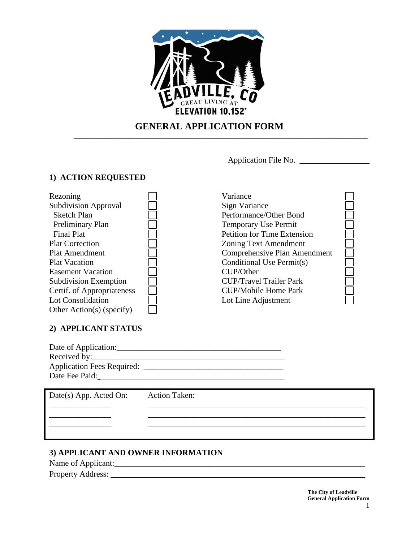

# **GENERAL APPLICATION FORM**

**\_\_\_\_\_\_\_\_\_\_\_\_\_\_\_\_\_\_\_\_\_\_\_\_\_\_\_\_\_\_\_\_\_\_\_\_\_\_\_\_\_\_\_\_\_\_\_\_\_\_\_\_\_\_\_\_\_\_\_\_\_\_\_\_\_\_\_\_\_\_\_\_\_\_\_\_\_\_\_\_\_\_\_\_\_\_**

Application File No. \_\_\_\_\_\_\_\_\_\_\_\_\_\_\_\_\_

## **1) ACTION REQUESTED**

| Rezoning                     | Variance                           |  |
|------------------------------|------------------------------------|--|
| <b>Subdivision Approval</b>  | Sign Variance                      |  |
| <b>Sketch Plan</b>           | Performance/Other Bond             |  |
| Preliminary Plan             | Temporary Use Permit               |  |
| <b>Final Plat</b>            | <b>Petition for Time Extension</b> |  |
| <b>Plat Correction</b>       | <b>Zoning Text Amendment</b>       |  |
| <b>Plat Amendment</b>        | Comprehensive Plan Amendment       |  |
| <b>Plat Vacation</b>         | Conditional Use Permit(s)          |  |
| <b>Easement Vacation</b>     | CUP/Other                          |  |
| <b>Subdivision Exemption</b> | <b>CUP/Travel Trailer Park</b>     |  |
| Certif. of Appropriateness   | <b>CUP/Mobile Home Park</b>        |  |
| Lot Consolidation            | Lot Line Adjustment                |  |
| Other Action(s) (specify)    |                                    |  |

### **2) APPLICANT STATUS**

| Date of Application:              |  |
|-----------------------------------|--|
| Received by:                      |  |
| <b>Application Fees Required:</b> |  |
| Date Fee Paid:                    |  |

| Date(s) App. Acted On: | <b>Action Taken:</b> |
|------------------------|----------------------|
|                        |                      |
|                        |                      |
|                        |                      |

## **3) APPLICANT AND OWNER INFORMATION**

Name of Applicant:\_\_\_\_\_\_\_\_\_\_\_\_\_\_\_\_\_\_\_\_\_\_\_\_\_\_\_\_\_\_\_\_\_\_\_\_\_\_\_\_\_\_\_\_\_\_\_\_\_\_\_\_\_\_\_\_\_\_\_\_\_ Property Address: \_\_\_\_\_\_\_\_\_\_\_\_\_\_\_\_\_\_\_\_\_\_\_\_\_\_\_\_\_\_\_\_\_\_\_\_\_\_\_\_\_\_\_\_\_\_\_\_\_\_\_\_\_\_\_\_\_\_\_\_\_\_

> **The City of Leadville General Application Form**  1